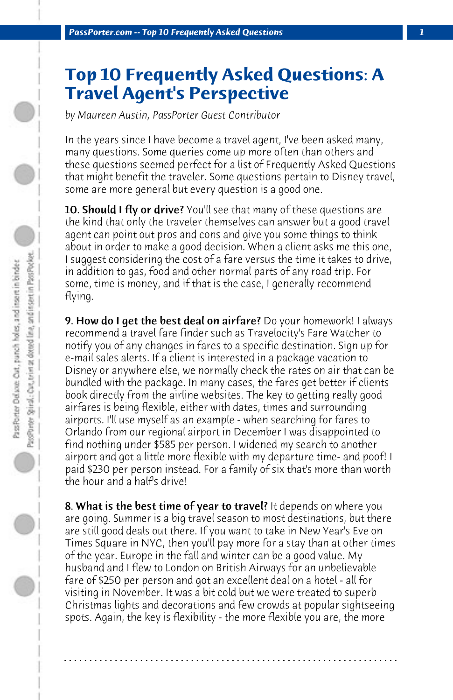## **Top 10 Frequently Asked Questions: A Travel Agent's Perspective**

*by Maureen Austin, PassPorter Guest Contributor*

In the years since I have become a travel agent, I've been asked many, many questions. Some queries come up more often than others and these questions seemed perfect for a list of Frequently Asked Questions that might benefit the traveler. Some questions pertain to Disney travel, some are more general but every question is a good one.

**10. Should I fly or drive?** You'll see that many of these questions are the kind that only the traveler themselves can answer but a good travel agent can point out pros and cons and give you some things to think about in order to make a good decision. When a client asks me this one, I suggest considering the cost of a fare versus the time it takes to drive, in addition to gas, food and other normal parts of any road trip. For some, time is money, and if that is the case, I generally recommend flying.

9. How do I get the best deal on airfare? Do your homework! I always recommend a travel fare finder such as Travelocity's Fare Watcher to notify you of any changes in fares to a specific destination. Sign up for e-mail sales alerts. If a client is interested in a package vacation to Disney or anywhere else, we normally check the rates on air that can be bundled with the package. In many cases, the fares get better if clients book directly from the airline websites. The key to getting really good airfares is being flexible, either with dates, times and surrounding airports. I'll use myself as an example - when searching for fares to Orlando from our regional airport in December I was disappointed to find nothing under \$585 per person. I widened my search to another airport and got a little more flexible with my departure time- and poof! I paid \$230 per person instead. For a family of six that's more than worth the hour and a half's drive!

8. What is the best time of year to travel? It depends on where you are going. Summer is a big travel season to most destinations, but there are still good deals out there. If you want to take in New Year's Eve on Times Square in NYC, then you'll pay more for a stay than at other times of the year. Europe in the fall and winter can be a good value. My husband and I flew to London on British Airways for an unbelievable fare of \$250 per person and got an excellent deal on a hotel - all for visiting in November. It was a bit cold but we were treated to superb Christmas lights and decorations and few crowds at popular sightseeing spots. Again, the key is flexibility - the more flexible you are, the more

**. . . . . . . . . . . . . . . . . . . . . . . . . . . . . . . . . . . . . . . . . . . . . . . . . . . . . . . . . . . . . . . . . .**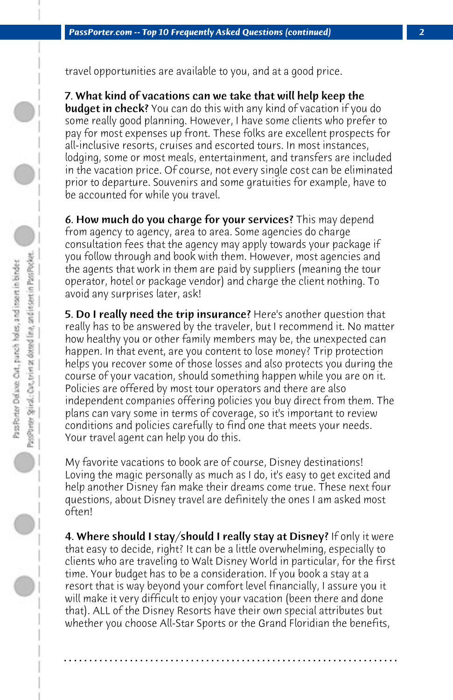travel opportunities are available to you, and at a good price.

7. What kind of vacations can we take that will help keep the **budget in check?** You can do this with any kind of vacation if you do some really good planning. However, I have some clients who prefer to pay for most expenses up front. These folks are excellent prospects for all-inclusive resorts, cruises and escorted tours. In most instances, lodging, some or most meals, entertainment, and transfers are included in the vacation price. Of course, not every single cost can be eliminated prior to departure. Souvenirs and some gratuities for example, have to be accounted for while you travel.

6. How much do you charge for your services? This may depend from agency to agency, area to area. Some agencies do charge consultation fees that the agency may apply towards your package if you follow through and book with them. However, most agencies and the agents that work in them are paid by suppliers (meaning the tour operator, hotel or package vendor) and charge the client nothing. To avoid any surprises later, ask!

**5. Do I really need the trip insurance?** Here's another question that really has to be answered by the traveler, but I recommend it. No matter how healthy you or other family members may be, the unexpected can happen. In that event, are you content to lose money? Trip protection helps you recover some of those losses and also protects you during the course of your vacation, should something happen while you are on it. Policies are offered by most tour operators and there are also independent companies offering policies you buy direct from them. The plans can vary some in terms of coverage, so it's important to review conditions and policies carefully to find one that meets your needs. Your travel agent can help you do this.

My favorite vacations to book are of course, Disney destinations! Loving the magic personally as much as I do, it's easy to get excited and help another Disney fan make their dreams come true. These next four questions, about Disney travel are definitely the ones I am asked most often!

4. Where should I stay/should I really stay at Disney? If only it were that easy to decide, right? It can be a little overwhelming, especially to clients who are traveling to Walt Disney World in particular, for the first time. Your budget has to be a consideration. If you book a stay at a resort that is way beyond your comfort level financially, I assure you it will make it very difficult to enjoy your vacation (been there and done that). ALL of the Disney Resorts have their own special attributes but whether you choose All-Star Sports or the Grand Floridian the benefits,

**. . . . . . . . . . . . . . . . . . . . . . . . . . . . . . . . . . . . . . . . . . . . . . . . . . . . . . . . . . . . . . . . . .**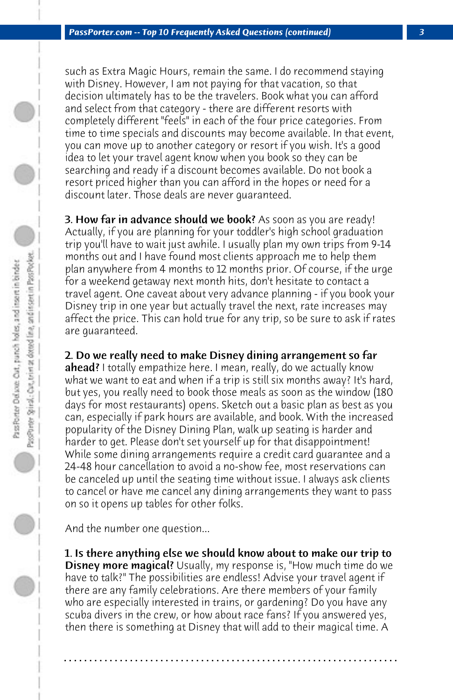such as Extra Magic Hours, remain the same. I do recommend staying with Disney. However, I am not paying for that vacation, so that decision ultimately has to be the travelers. Book what you can afford and select from that category - there are different resorts with completely different "feels" in each of the four price categories. From time to time specials and discounts may become available. In that event, you can move up to another category or resort if you wish. It's a good idea to let your travel agent know when you book so they can be searching and ready if a discount becomes available. Do not book a resort priced higher than you can afford in the hopes or need for a discount later. Those deals are never guaranteed.

**3. How far in advance should we book?** As soon as you are ready! Actually, if you are planning for your toddler's high school graduation trip you'll have to wait just awhile. I usually plan my own trips from 9-14 months out and I have found most clients approach me to help them plan anywhere from 4 months to 12 months prior. Of course, if the urge for a weekend getaway next month hits, don't hesitate to contact a travel agent. One caveat about very advance planning - if you book your Disney trip in one year but actually travel the next, rate increases may affect the price. This can hold true for any trip, so be sure to ask if rates are guaranteed.

## 2. Do we really need to make Disney dining arrangement so far

ahead? I totally empathize here. I mean, really, do we actually know what we want to eat and when if a trip is still six months away? It's hard, but yes, you really need to book those meals as soon as the window (180 days for most restaurants) opens. Sketch out a basic plan as best as you can, especially if park hours are available, and book. With the increased popularity of the Disney Dining Plan, walk up seating is harder and harder to get. Please don't set yourself up for that disappointment! While some dining arrangements require a credit card guarantee and a 24-48 hour cancellation to avoid a no-show fee, most reservations can be canceled up until the seating time without issue. I always ask clients to cancel or have me cancel any dining arrangements they want to pass on so it opens up tables for other folks.

And the number one question...

1. Is there anything else we should know about to make our trip to **Disney more magical?** Usually, my response is, "How much time do we have to talk?" The possibilities are endless! Advise your travel agent if there are any family celebrations. Are there members of your family who are especially interested in trains, or gardening? Do you have any scuba divers in the crew, or how about race fans? If you answered yes, then there is something at Disney that will add to their magical time. A

**. . . . . . . . . . . . . . . . . . . . . . . . . . . . . . . . . . . . . . . . . . . . . . . . . . . . . . . . . . . . . . . . . .**